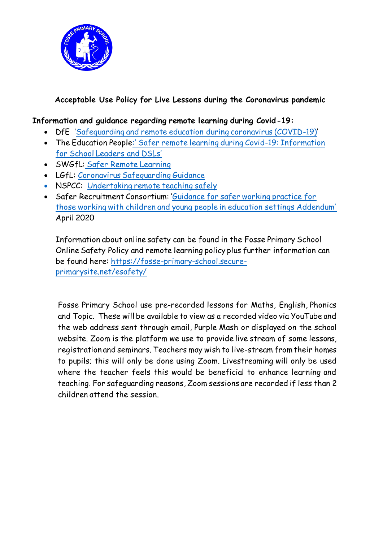

## **Acceptable Use Policy for Live Lessons during the Coronavirus pandemic**

#### **Information and guidance regarding remote learning during Covid-19:**

- DfE '[Safeguarding and remote education during coronavirus \(COVID-19\)](https://www.gov.uk/guidance/safeguarding-and-remote-education-during-coronavirus-covid-19)'
- The Education People:' [Safer remote learning during Covid-19: Information](https://www.theeducationpeople.org/blog/safer-remote-learning-during-covid-19-information-for-school-leaders-and-dsls/)  [for School Leaders and DSLs'](https://www.theeducationpeople.org/blog/safer-remote-learning-during-covid-19-information-for-school-leaders-and-dsls/)
- SWGfL: [Safer Remote Learning](https://swgfl.org.uk/resources/safe-remote-learning/)
- LGfL: [Coronavirus Safeguarding Guidance](https://coronavirus.lgfl.net/safeguarding)
- NSPCC: [Undertaking remote teaching safely](https://learning.nspcc.org.uk/news/2020/march/undertaking-remote-teaching-safely)
- Safer Recruitment Consortium: '[Guidance for safer working practice for](https://www.saferrecruitmentconsortium.org/GSWP%20COVID%20addendum%20April%202020%20final.pdf)  [those working with children and young people in education settings Addendum'](https://www.saferrecruitmentconsortium.org/GSWP%20COVID%20addendum%20April%202020%20final.pdf) April 2020

Information about online safety can be found in the Fosse Primary School Online Safety Policy and remote learning policy plus further information can be found here: [https://fosse-primary-school.secure](https://fosse-primary-school.secure-primarysite.net/esafety/)[primarysite.net/esafety/](https://fosse-primary-school.secure-primarysite.net/esafety/)

Fosse Primary School use pre-recorded lessons for Maths, English, Phonics and Topic. These will be available to view as a recorded video via YouTube and the web address sent through email, Purple Mash or displayed on the school website. Zoom is the platform we use to provide live stream of some lessons, registration and seminars. Teachers may wish to live-stream from their homes to pupils; this will only be done using Zoom. Livestreaming will only be used where the teacher feels this would be beneficial to enhance learning and teaching. For safeguarding reasons, Zoom sessions are recorded if less than 2 children attend the session.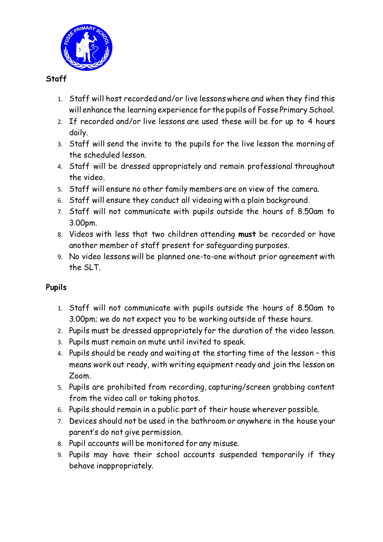

## **Staff**

- 1. Staff will host recorded and/or live lessons where and when they find this will enhance the learning experience for the pupils of Fosse Primary School.
- 2. If recorded and/or live lessons are used these will be for up to 4 hours daily.
- 3. Staff will send the invite to the pupils for the live lesson the morning of the scheduled lesson.
- 4. Staff will be dressed appropriately and remain professional throughout the video.
- 5. Staff will ensure no other family members are on view of the camera.
- 6. Staff will ensure they conduct all videoing with a plain background.
- 7. Staff will not communicate with pupils outside the hours of 8.50am to 3.00pm.
- 8. Videos with less that two children attending **must** be recorded or have another member of staff present for safeguarding purposes.
- 9. No video lessons will be planned one-to-one without prior agreement with the SLT.

# **Pupils**

- 1. Staff will not communicate with pupils outside the hours of 8.50am to 3.00pm; we do not expect you to be working outside of these hours.
- 2. Pupils must be dressed appropriately for the duration of the video lesson.
- 3. Pupils must remain on mute until invited to speak.
- 4. Pupils should be ready and waiting at the starting time of the lesson this means work out ready, with writing equipment ready and join the lesson on Zoom.
- 5. Pupils are prohibited from recording, capturing/screen grabbing content from the video call or taking photos.
- 6. Pupils should remain in a public part of their house wherever possible.
- 7. Devices should not be used in the bathroom or anywhere in the house your parent's do not give permission.
- 8. Pupil accounts will be monitored for any misuse.
- 9. Pupils may have their school accounts suspended temporarily if they behave inappropriately.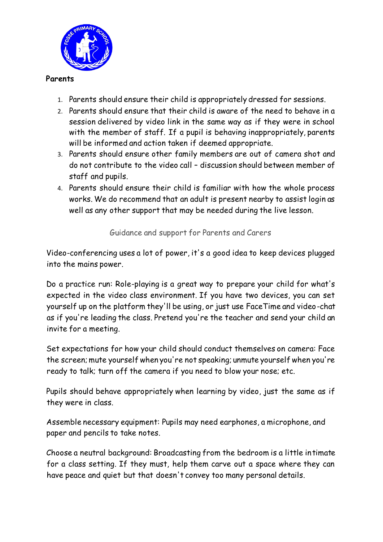

#### **Parents**

- 1. Parents should ensure their child is appropriately dressed for sessions.
- 2. Parents should ensure that their child is aware of the need to behave in a session delivered by video link in the same way as if they were in school with the member of staff. If a pupil is behaving inappropriately, parents will be informed and action taken if deemed appropriate.
- 3. Parents should ensure other family members are out of camera shot and do not contribute to the video call – discussion should between member of staff and pupils.
- 4. Parents should ensure their child is familiar with how the whole process works. We do recommend that an adult is present nearby to assist login as well as any other support that may be needed during the live lesson.

Guidance and support for Parents and Carers

Video-conferencing uses a lot of power, it's a good idea to keep devices plugged into the mains power.

Do a practice run: Role-playing is a great way to prepare your child for what's expected in the video class environment. If you have two devices, you can set yourself up on the platform they'll be using, or just use FaceTime and video-chat as if you're leading the class. Pretend you're the teacher and send your child an invite for a meeting.

Set expectations for how your child should conduct themselves on camera: Face the screen; mute yourself when you're not speaking; unmute yourself when you're ready to talk; turn off the camera if you need to blow your nose; etc.

Pupils should behave appropriately when learning by video, just the same as if they were in class.

Assemble necessary equipment: Pupils may need earphones, a microphone, and paper and pencils to take notes.

Choose a neutral background: Broadcasting from the bedroom is a little intimate for a class setting. If they must, help them carve out a space where they can have peace and quiet but that doesn't convey too many personal details.